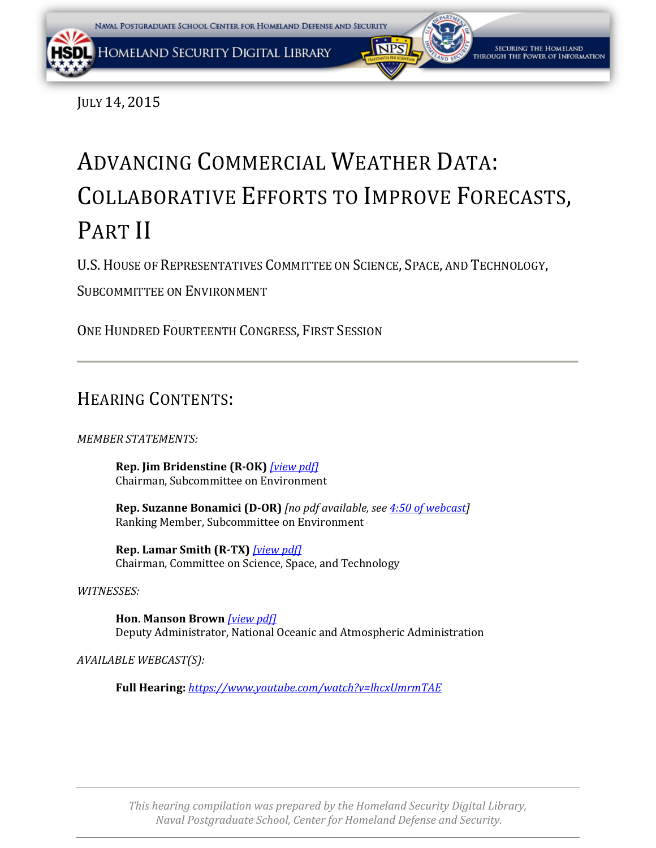<span id="page-0-0"></span>JULY 14, 2015

# ADVANCING COMMERCIAL WEATHER DATA: COLLABORATIVE EFFORTS TO IMPROVE FORECASTS, PART II

U.S.HOUSE OF REPRESENTATIVES COMMITTEE ON SCIENCE, SPACE, AND TECHNOLOGY,

SUBCOMMITTEE ON ENVIRONMENT

ONE HUNDRED FOURTEENTH CONGRESS, FIRST SESSION

## HEARING CONTENTS:

#### *MEMBER STATEMENTS:*

**Rep. Jim Bridenstine (R-OK)** *[\[view pdf\]](#page-0-0)* Chairman, Subcommittee on Environment

**Rep. Suzanne Bonamici (D-OR)** *[no pdf available, se[e 4:50 of webcast\]](https://youtu.be/lhcxUmrmTAE?t=290)* Ranking Member, Subcommittee on Environment

**Rep. Lamar Smith (R-TX)** *[\[view pdf\]](#page-4-0)* Chairman, Committee on Science, Space, and Technology

#### *WITNESSES:*

**Hon. Manson Brown** *[\[view pdf\]](#page-0-0)* Deputy Administrator, National Oceanic and Atmospheric Administration

*AVAILABLE WEBCAST(S):*

**Full Hearing:** *<https://www.youtube.com/watch?v=lhcxUmrmTAE>*

*This hearing compilation was prepared by the Homeland Security Digital Library, Naval Postgraduate School, Center for Homeland Defense and Security.*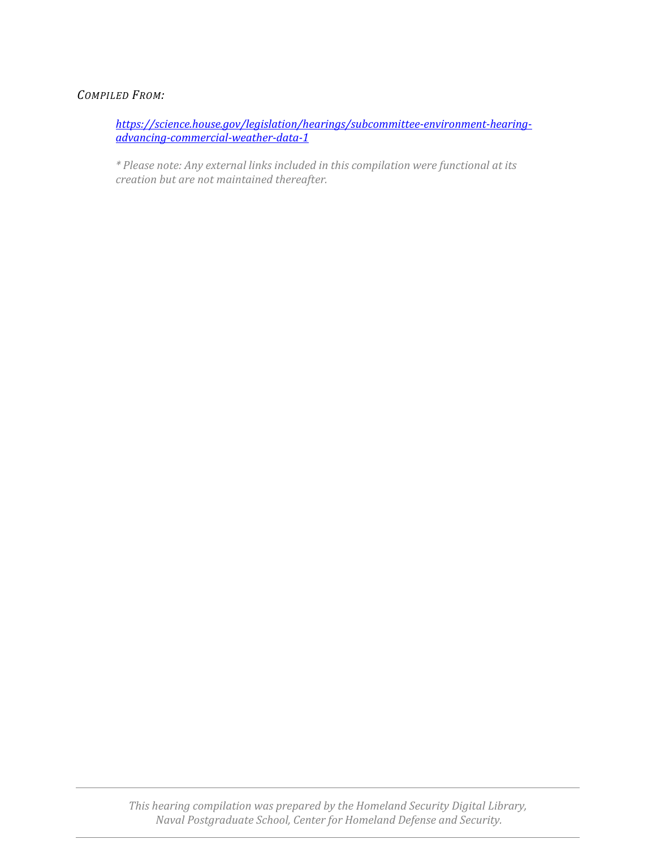#### *COMPILED FROM:*

*[https://science.house.gov/legislation/hearings/subcommittee-environment-hearing](https://science.house.gov/legislation/hearings/subcommittee-environment-hearing-advancing-commercial-weather-data-1)[advancing-commercial-weather-data-1](https://science.house.gov/legislation/hearings/subcommittee-environment-hearing-advancing-commercial-weather-data-1)*

*\* Please note: Any external links included in this compilation were functional at its creation but are not maintained thereafter.*

*This hearing compilation was prepared by the Homeland Security Digital Library, Naval Postgraduate School, Center for Homeland Defense and Security.*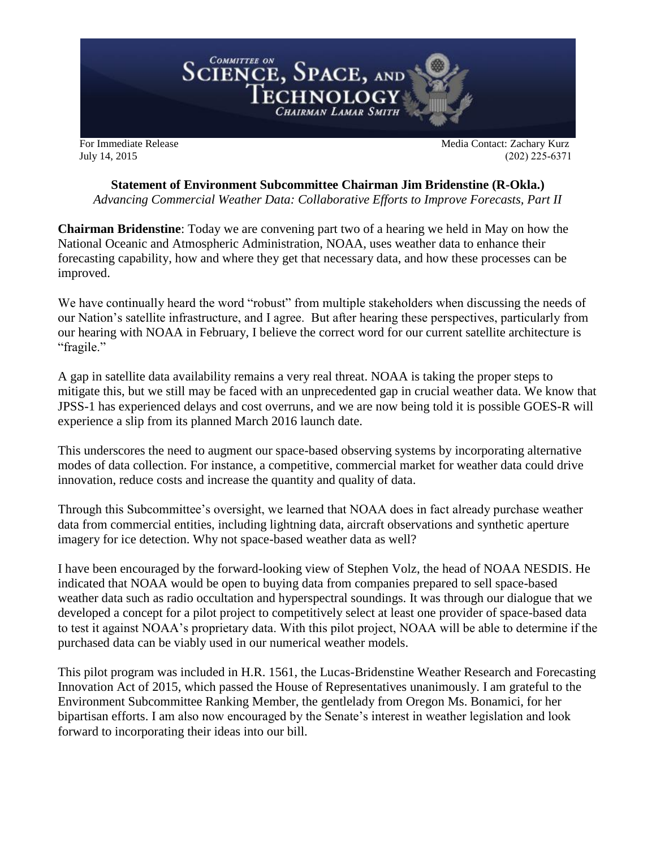<span id="page-2-0"></span>

July 14, 2015 (202) 225-6371

## **Statement of Environment Subcommittee Chairman Jim Bridenstine (R-Okla.)**

*Advancing Commercial Weather Data: Collaborative Efforts to Improve Forecasts, Part II*

**Chairman Bridenstine**: Today we are convening part two of a hearing we held in May on how the National Oceanic and Atmospheric Administration, NOAA, uses weather data to enhance their forecasting capability, how and where they get that necessary data, and how these processes can be improved.

We have continually heard the word "robust" from multiple stakeholders when discussing the needs of our Nation's satellite infrastructure, and I agree. But after hearing these perspectives, particularly from our hearing with NOAA in February, I believe the correct word for our current satellite architecture is "fragile."

A gap in satellite data availability remains a very real threat. NOAA is taking the proper steps to mitigate this, but we still may be faced with an unprecedented gap in crucial weather data. We know that JPSS-1 has experienced delays and cost overruns, and we are now being told it is possible GOES-R will experience a slip from its planned March 2016 launch date.

This underscores the need to augment our space-based observing systems by incorporating alternative modes of data collection. For instance, a competitive, commercial market for weather data could drive innovation, reduce costs and increase the quantity and quality of data.

Through this Subcommittee's oversight, we learned that NOAA does in fact already purchase weather data from commercial entities, including lightning data, aircraft observations and synthetic aperture imagery for ice detection. Why not space-based weather data as well?

I have been encouraged by the forward-looking view of Stephen Volz, the head of NOAA NESDIS. He indicated that NOAA would be open to buying data from companies prepared to sell space-based weather data such as radio occultation and hyperspectral soundings. It was through our dialogue that we developed a concept for a pilot project to competitively select at least one provider of space-based data to test it against NOAA's proprietary data. With this pilot project, NOAA will be able to determine if the purchased data can be viably used in our numerical weather models.

This pilot program was included in H.R. 1561, the Lucas-Bridenstine Weather Research and Forecasting Innovation Act of 2015, which passed the House of Representatives unanimously. I am grateful to the Environment Subcommittee Ranking Member, the gentlelady from Oregon Ms. Bonamici, for her bipartisan efforts. I am also now encouraged by the Senate's interest in weather legislation and look forward to incorporating their ideas into our bill.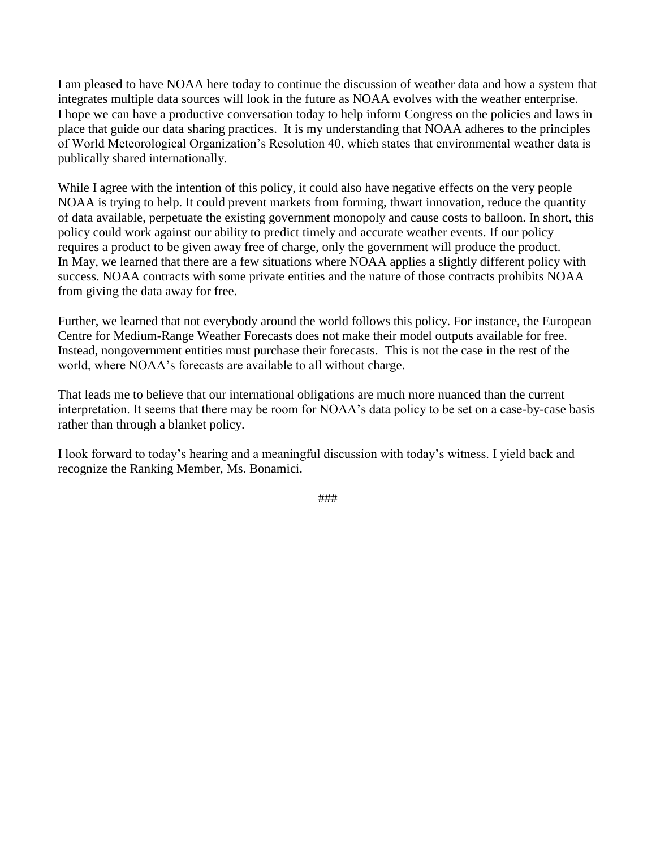I am pleased to have NOAA here today to continue the discussion of weather data and how a system that integrates multiple data sources will look in the future as NOAA evolves with the weather enterprise. I hope we can have a productive conversation today to help inform Congress on the policies and laws in place that guide our data sharing practices. It is my understanding that NOAA adheres to the principles of World Meteorological Organization's Resolution 40, which states that environmental weather data is publically shared internationally.

While I agree with the intention of this policy, it could also have negative effects on the very people NOAA is trying to help. It could prevent markets from forming, thwart innovation, reduce the quantity of data available, perpetuate the existing government monopoly and cause costs to balloon. In short, this policy could work against our ability to predict timely and accurate weather events. If our policy requires a product to be given away free of charge, only the government will produce the product. In May, we learned that there are a few situations where NOAA applies a slightly different policy with success. NOAA contracts with some private entities and the nature of those contracts prohibits NOAA from giving the data away for free.

Further, we learned that not everybody around the world follows this policy. For instance, the European Centre for Medium-Range Weather Forecasts does not make their model outputs available for free. Instead, nongovernment entities must purchase their forecasts. This is not the case in the rest of the world, where NOAA's forecasts are available to all without charge.

That leads me to believe that our international obligations are much more nuanced than the current interpretation. It seems that there may be room for NOAA's data policy to be set on a case-by-case basis rather than through a blanket policy.

I look forward to today's hearing and a meaningful discussion with today's witness. I yield back and recognize the Ranking Member, Ms. Bonamici.

###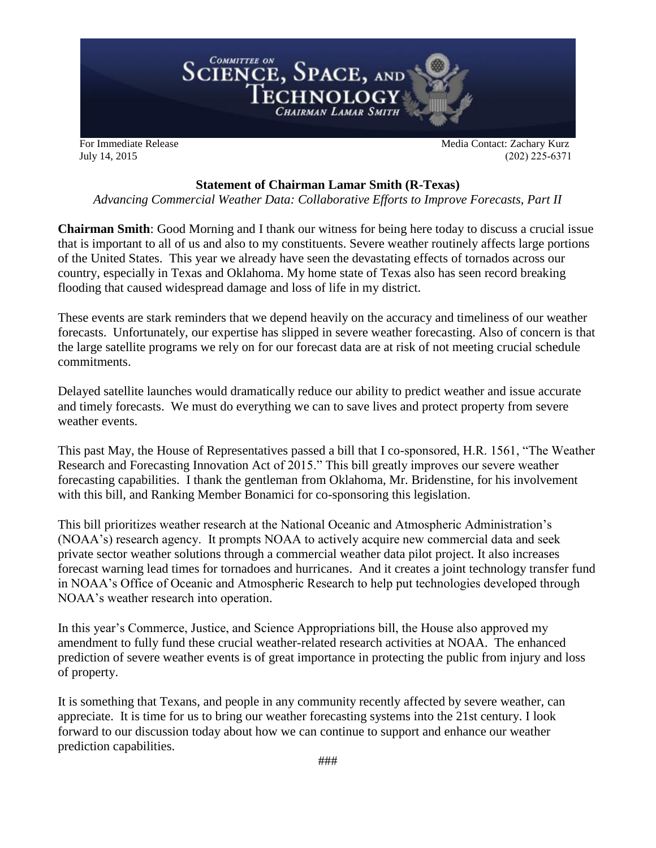<span id="page-4-0"></span>

July 14, 2015 (202) 225-6371

#### **Statement of Chairman Lamar Smith (R-Texas)**

*Advancing Commercial Weather Data: Collaborative Efforts to Improve Forecasts, Part II*

**Chairman Smith**: Good Morning and I thank our witness for being here today to discuss a crucial issue that is important to all of us and also to my constituents. Severe weather routinely affects large portions of the United States. This year we already have seen the devastating effects of tornados across our country, especially in Texas and Oklahoma. My home state of Texas also has seen record breaking flooding that caused widespread damage and loss of life in my district.

These events are stark reminders that we depend heavily on the accuracy and timeliness of our weather forecasts. Unfortunately, our expertise has slipped in severe weather forecasting. Also of concern is that the large satellite programs we rely on for our forecast data are at risk of not meeting crucial schedule commitments.

Delayed satellite launches would dramatically reduce our ability to predict weather and issue accurate and timely forecasts. We must do everything we can to save lives and protect property from severe weather events.

This past May, the House of Representatives passed a bill that I co-sponsored, H.R. 1561, "The Weather Research and Forecasting Innovation Act of 2015." This bill greatly improves our severe weather forecasting capabilities. I thank the gentleman from Oklahoma, Mr. Bridenstine, for his involvement with this bill, and Ranking Member Bonamici for co-sponsoring this legislation.

This bill prioritizes weather research at the National Oceanic and Atmospheric Administration's (NOAA's) research agency. It prompts NOAA to actively acquire new commercial data and seek private sector weather solutions through a commercial weather data pilot project. It also increases forecast warning lead times for tornadoes and hurricanes. And it creates a joint technology transfer fund in NOAA's Office of Oceanic and Atmospheric Research to help put technologies developed through NOAA's weather research into operation.

In this year's Commerce, Justice, and Science Appropriations bill, the House also approved my amendment to fully fund these crucial weather-related research activities at NOAA. The enhanced prediction of severe weather events is of great importance in protecting the public from injury and loss of property.

It is something that Texans, and people in any community recently affected by severe weather, can appreciate. It is time for us to bring our weather forecasting systems into the 21st century. I look forward to our discussion today about how we can continue to support and enhance our weather prediction capabilities.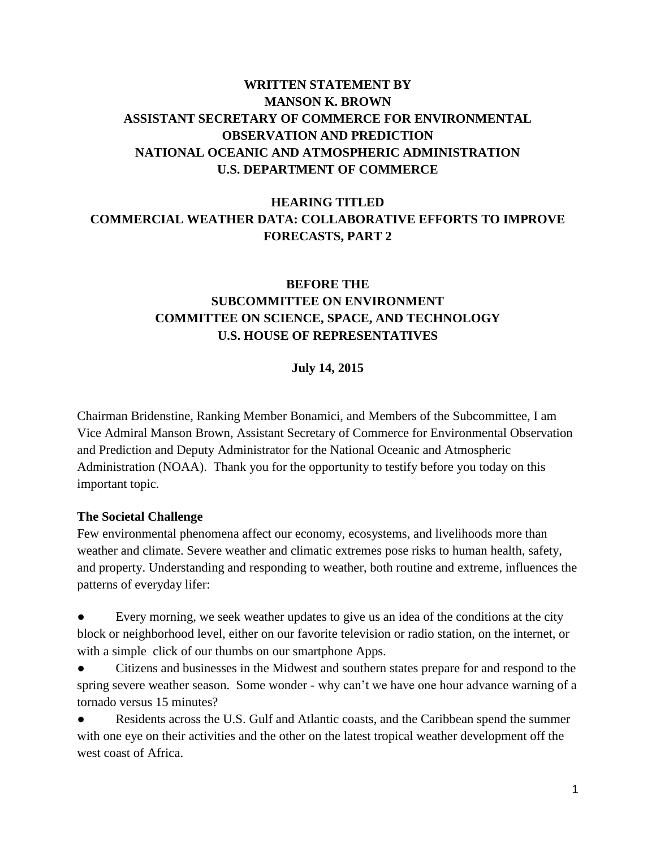## <span id="page-5-0"></span>**WRITTEN STATEMENT BY MANSON K. BROWN ASSISTANT SECRETARY OF COMMERCE FOR ENVIRONMENTAL OBSERVATION AND PREDICTION NATIONAL OCEANIC AND ATMOSPHERIC ADMINISTRATION U.S. DEPARTMENT OF COMMERCE**

## **HEARING TITLED COMMERCIAL WEATHER DATA: COLLABORATIVE EFFORTS TO IMPROVE FORECASTS, PART 2**

## **BEFORE THE SUBCOMMITTEE ON ENVIRONMENT COMMITTEE ON SCIENCE, SPACE, AND TECHNOLOGY U.S. HOUSE OF REPRESENTATIVES**

#### **July 14, 2015**

Chairman Bridenstine, Ranking Member Bonamici, and Members of the Subcommittee, I am Vice Admiral Manson Brown, Assistant Secretary of Commerce for Environmental Observation and Prediction and Deputy Administrator for the National Oceanic and Atmospheric Administration (NOAA). Thank you for the opportunity to testify before you today on this important topic.

#### **The Societal Challenge**

Few environmental phenomena affect our economy, ecosystems, and livelihoods more than weather and climate. Severe weather and climatic extremes pose risks to human health, safety, and property. Understanding and responding to weather, both routine and extreme, influences the patterns of everyday lifer:

Every morning, we seek weather updates to give us an idea of the conditions at the city block or neighborhood level, either on our favorite television or radio station, on the internet, or with a simple click of our thumbs on our smartphone Apps.

Citizens and businesses in the Midwest and southern states prepare for and respond to the spring severe weather season. Some wonder - why can't we have one hour advance warning of a tornado versus 15 minutes?

Residents across the U.S. Gulf and Atlantic coasts, and the Caribbean spend the summer with one eye on their activities and the other on the latest tropical weather development off the west coast of Africa.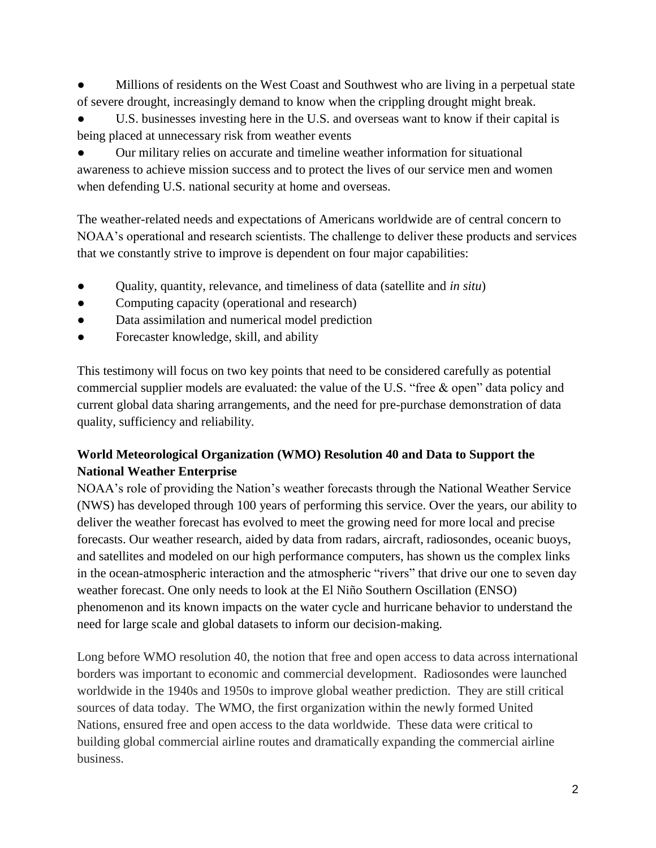Millions of residents on the West Coast and Southwest who are living in a perpetual state of severe drought, increasingly demand to know when the crippling drought might break.

U.S. businesses investing here in the U.S. and overseas want to know if their capital is being placed at unnecessary risk from weather events

Our military relies on accurate and timeline weather information for situational awareness to achieve mission success and to protect the lives of our service men and women when defending U.S. national security at home and overseas.

The weather-related needs and expectations of Americans worldwide are of central concern to NOAA's operational and research scientists. The challenge to deliver these products and services that we constantly strive to improve is dependent on four major capabilities:

- Quality, quantity, relevance, and timeliness of data (satellite and *in situ*)
- Computing capacity (operational and research)
- Data assimilation and numerical model prediction
- Forecaster knowledge, skill, and ability

This testimony will focus on two key points that need to be considered carefully as potential commercial supplier models are evaluated: the value of the U.S. "free & open" data policy and current global data sharing arrangements, and the need for pre-purchase demonstration of data quality, sufficiency and reliability.

## **World Meteorological Organization (WMO) Resolution 40 and Data to Support the National Weather Enterprise**

NOAA's role of providing the Nation's weather forecasts through the National Weather Service (NWS) has developed through 100 years of performing this service. Over the years, our ability to deliver the weather forecast has evolved to meet the growing need for more local and precise forecasts. Our weather research, aided by data from radars, aircraft, radiosondes, oceanic buoys, and satellites and modeled on our high performance computers, has shown us the complex links in the ocean-atmospheric interaction and the atmospheric "rivers" that drive our one to seven day weather forecast. One only needs to look at the El Niño Southern Oscillation (ENSO) phenomenon and its known impacts on the water cycle and hurricane behavior to understand the need for large scale and global datasets to inform our decision-making.

Long before WMO resolution 40, the notion that free and open access to data across international borders was important to economic and commercial development. Radiosondes were launched worldwide in the 1940s and 1950s to improve global weather prediction. They are still critical sources of data today. The WMO, the first organization within the newly formed United Nations, ensured free and open access to the data worldwide. These data were critical to building global commercial airline routes and dramatically expanding the commercial airline business.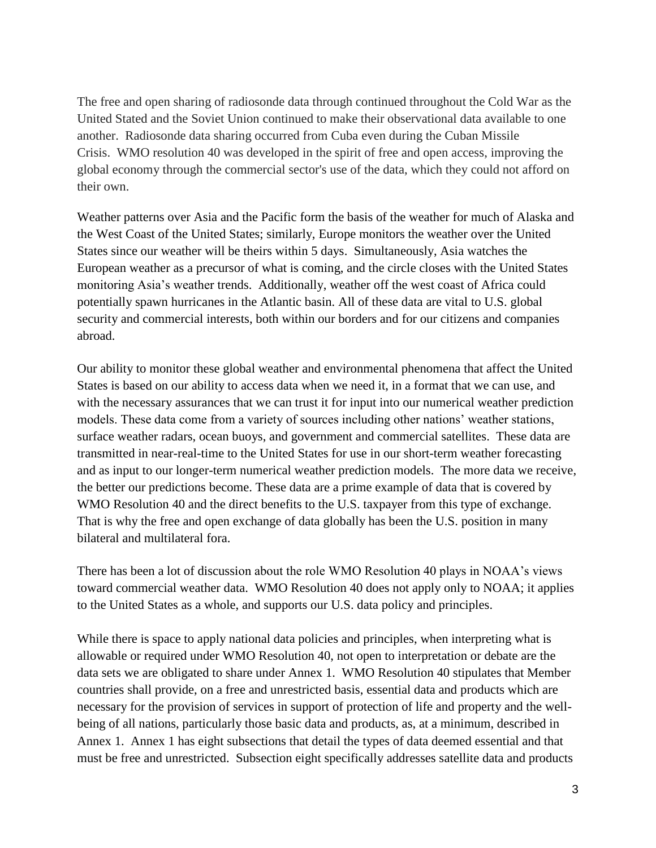The free and open sharing of radiosonde data through continued throughout the Cold War as the United Stated and the Soviet Union continued to make their observational data available to one another. Radiosonde data sharing occurred from Cuba even during the Cuban Missile Crisis. WMO resolution 40 was developed in the spirit of free and open access, improving the global economy through the commercial sector's use of the data, which they could not afford on their own.

Weather patterns over Asia and the Pacific form the basis of the weather for much of Alaska and the West Coast of the United States; similarly, Europe monitors the weather over the United States since our weather will be theirs within 5 days. Simultaneously, Asia watches the European weather as a precursor of what is coming, and the circle closes with the United States monitoring Asia's weather trends. Additionally, weather off the west coast of Africa could potentially spawn hurricanes in the Atlantic basin. All of these data are vital to U.S. global security and commercial interests, both within our borders and for our citizens and companies abroad.

Our ability to monitor these global weather and environmental phenomena that affect the United States is based on our ability to access data when we need it, in a format that we can use, and with the necessary assurances that we can trust it for input into our numerical weather prediction models. These data come from a variety of sources including other nations' weather stations, surface weather radars, ocean buoys, and government and commercial satellites. These data are transmitted in near-real-time to the United States for use in our short-term weather forecasting and as input to our longer-term numerical weather prediction models. The more data we receive, the better our predictions become. These data are a prime example of data that is covered by WMO Resolution 40 and the direct benefits to the U.S. taxpayer from this type of exchange. That is why the free and open exchange of data globally has been the U.S. position in many bilateral and multilateral fora.

There has been a lot of discussion about the role WMO Resolution 40 plays in NOAA's views toward commercial weather data. WMO Resolution 40 does not apply only to NOAA; it applies to the United States as a whole, and supports our U.S. data policy and principles.

While there is space to apply national data policies and principles, when interpreting what is allowable or required under WMO Resolution 40, not open to interpretation or debate are the data sets we are obligated to share under Annex 1. WMO Resolution 40 stipulates that Member countries shall provide, on a free and unrestricted basis, essential data and products which are necessary for the provision of services in support of protection of life and property and the wellbeing of all nations, particularly those basic data and products, as, at a minimum, described in Annex 1. Annex 1 has eight subsections that detail the types of data deemed essential and that must be free and unrestricted. Subsection eight specifically addresses satellite data and products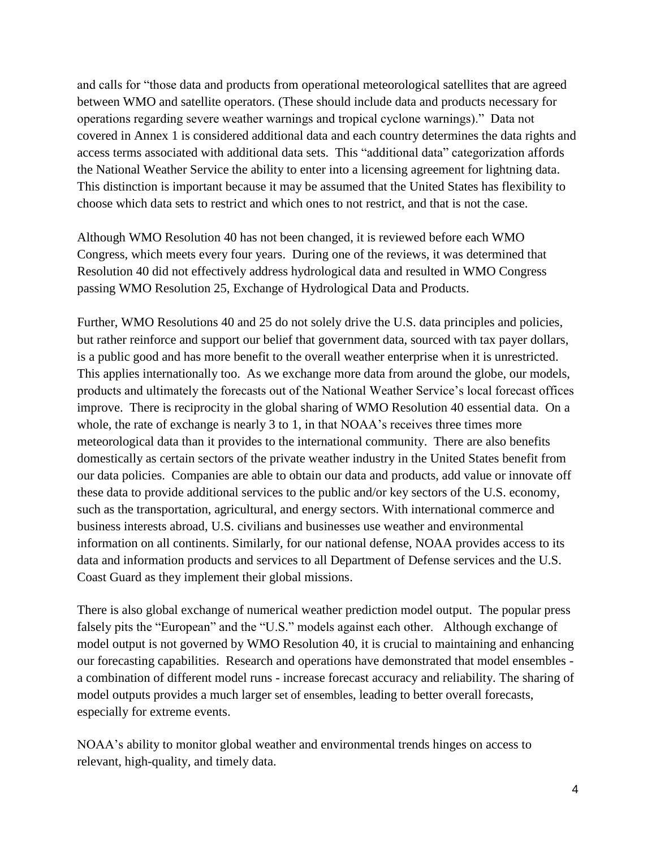and calls for "those data and products from operational meteorological satellites that are agreed between WMO and satellite operators. (These should include data and products necessary for operations regarding severe weather warnings and tropical cyclone warnings)." Data not covered in Annex 1 is considered additional data and each country determines the data rights and access terms associated with additional data sets. This "additional data" categorization affords the National Weather Service the ability to enter into a licensing agreement for lightning data. This distinction is important because it may be assumed that the United States has flexibility to choose which data sets to restrict and which ones to not restrict, and that is not the case.

Although WMO Resolution 40 has not been changed, it is reviewed before each WMO Congress, which meets every four years. During one of the reviews, it was determined that Resolution 40 did not effectively address hydrological data and resulted in WMO Congress passing WMO Resolution 25, Exchange of Hydrological Data and Products.

Further, WMO Resolutions 40 and 25 do not solely drive the U.S. data principles and policies, but rather reinforce and support our belief that government data, sourced with tax payer dollars, is a public good and has more benefit to the overall weather enterprise when it is unrestricted. This applies internationally too. As we exchange more data from around the globe, our models, products and ultimately the forecasts out of the National Weather Service's local forecast offices improve. There is reciprocity in the global sharing of WMO Resolution 40 essential data. On a whole, the rate of exchange is nearly 3 to 1, in that NOAA's receives three times more meteorological data than it provides to the international community. There are also benefits domestically as certain sectors of the private weather industry in the United States benefit from our data policies. Companies are able to obtain our data and products, add value or innovate off these data to provide additional services to the public and/or key sectors of the U.S. economy, such as the transportation, agricultural, and energy sectors. With international commerce and business interests abroad, U.S. civilians and businesses use weather and environmental information on all continents. Similarly, for our national defense, NOAA provides access to its data and information products and services to all Department of Defense services and the U.S. Coast Guard as they implement their global missions.

There is also global exchange of numerical weather prediction model output. The popular press falsely pits the "European" and the "U.S." models against each other. Although exchange of model output is not governed by WMO Resolution 40, it is crucial to maintaining and enhancing our forecasting capabilities. Research and operations have demonstrated that model ensembles a combination of different model runs - increase forecast accuracy and reliability. The sharing of model outputs provides a much larger set of ensembles, leading to better overall forecasts, especially for extreme events.

NOAA's ability to monitor global weather and environmental trends hinges on access to relevant, high-quality, and timely data.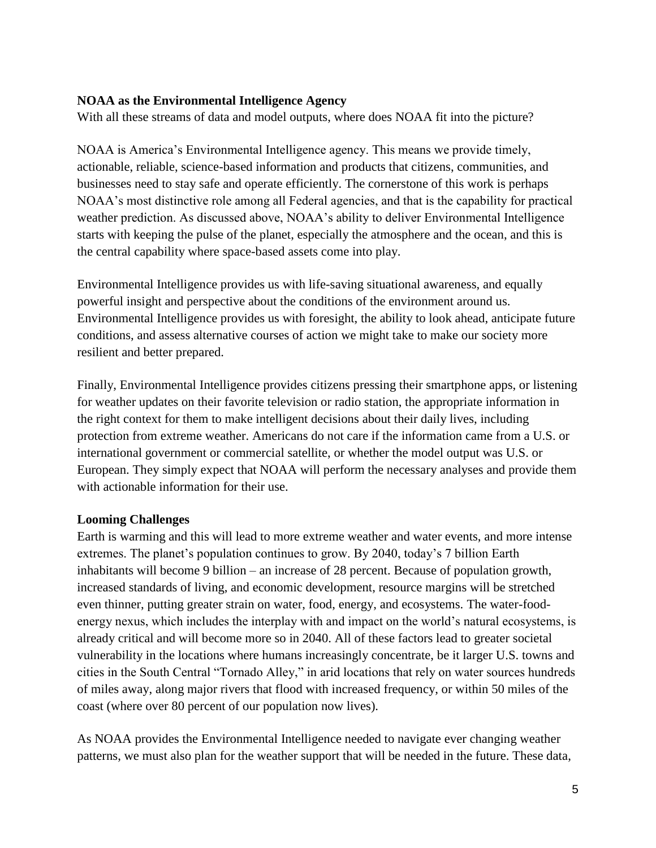#### **NOAA as the Environmental Intelligence Agency**

With all these streams of data and model outputs, where does NOAA fit into the picture?

NOAA is America's Environmental Intelligence agency. This means we provide timely, actionable, reliable, science-based information and products that citizens, communities, and businesses need to stay safe and operate efficiently. The cornerstone of this work is perhaps NOAA's most distinctive role among all Federal agencies, and that is the capability for practical weather prediction. As discussed above, NOAA's ability to deliver Environmental Intelligence starts with keeping the pulse of the planet, especially the atmosphere and the ocean, and this is the central capability where space-based assets come into play.

Environmental Intelligence provides us with life-saving situational awareness, and equally powerful insight and perspective about the conditions of the environment around us. Environmental Intelligence provides us with foresight, the ability to look ahead, anticipate future conditions, and assess alternative courses of action we might take to make our society more resilient and better prepared.

Finally, Environmental Intelligence provides citizens pressing their smartphone apps, or listening for weather updates on their favorite television or radio station, the appropriate information in the right context for them to make intelligent decisions about their daily lives, including protection from extreme weather. Americans do not care if the information came from a U.S. or international government or commercial satellite, or whether the model output was U.S. or European. They simply expect that NOAA will perform the necessary analyses and provide them with actionable information for their use.

#### **Looming Challenges**

Earth is warming and this will lead to more extreme weather and water events, and more intense extremes. The planet's population continues to grow. By 2040, today's 7 billion Earth inhabitants will become 9 billion – an increase of 28 percent. Because of population growth, increased standards of living, and economic development, resource margins will be stretched even thinner, putting greater strain on water, food, energy, and ecosystems. The water-foodenergy nexus, which includes the interplay with and impact on the world's natural ecosystems, is already critical and will become more so in 2040. All of these factors lead to greater societal vulnerability in the locations where humans increasingly concentrate, be it larger U.S. towns and cities in the South Central "Tornado Alley," in arid locations that rely on water sources hundreds of miles away, along major rivers that flood with increased frequency, or within 50 miles of the coast (where over 80 percent of our population now lives).

As NOAA provides the Environmental Intelligence needed to navigate ever changing weather patterns, we must also plan for the weather support that will be needed in the future. These data,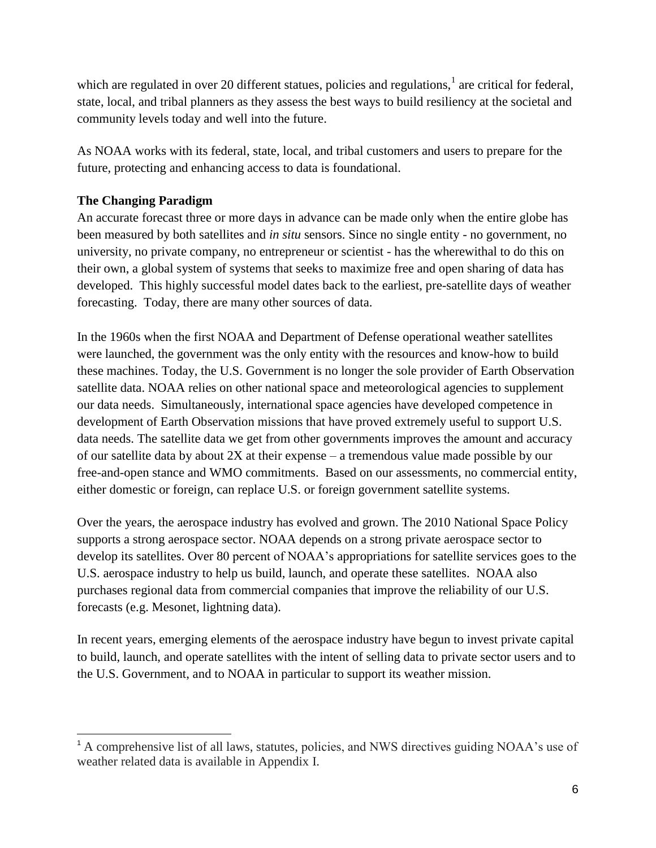which are regulated in over 20 different statues, policies and regulations, $<sup>1</sup>$  are critical for federal,</sup> state, local, and tribal planners as they assess the best ways to build resiliency at the societal and community levels today and well into the future.

As NOAA works with its federal, state, local, and tribal customers and users to prepare for the future, protecting and enhancing access to data is foundational.

## **The Changing Paradigm**

 $\overline{a}$ 

An accurate forecast three or more days in advance can be made only when the entire globe has been measured by both satellites and *in situ* sensors. Since no single entity - no government, no university, no private company, no entrepreneur or scientist - has the wherewithal to do this on their own, a global system of systems that seeks to maximize free and open sharing of data has developed. This highly successful model dates back to the earliest, pre-satellite days of weather forecasting. Today, there are many other sources of data.

In the 1960s when the first NOAA and Department of Defense operational weather satellites were launched, the government was the only entity with the resources and know-how to build these machines. Today, the U.S. Government is no longer the sole provider of Earth Observation satellite data. NOAA relies on other national space and meteorological agencies to supplement our data needs. Simultaneously, international space agencies have developed competence in development of Earth Observation missions that have proved extremely useful to support U.S. data needs. The satellite data we get from other governments improves the amount and accuracy of our satellite data by about 2X at their expense – a tremendous value made possible by our free-and-open stance and WMO commitments. Based on our assessments, no commercial entity, either domestic or foreign, can replace U.S. or foreign government satellite systems.

Over the years, the aerospace industry has evolved and grown. The 2010 National Space Policy supports a strong aerospace sector. NOAA depends on a strong private aerospace sector to develop its satellites. Over 80 percent of NOAA's appropriations for satellite services goes to the U.S. aerospace industry to help us build, launch, and operate these satellites. NOAA also purchases regional data from commercial companies that improve the reliability of our U.S. forecasts (e.g. Mesonet, lightning data).

In recent years, emerging elements of the aerospace industry have begun to invest private capital to build, launch, and operate satellites with the intent of selling data to private sector users and to the U.S. Government, and to NOAA in particular to support its weather mission.

<sup>&</sup>lt;sup>1</sup> A comprehensive list of all laws, statutes, policies, and NWS directives guiding NOAA's use of weather related data is available in Appendix I.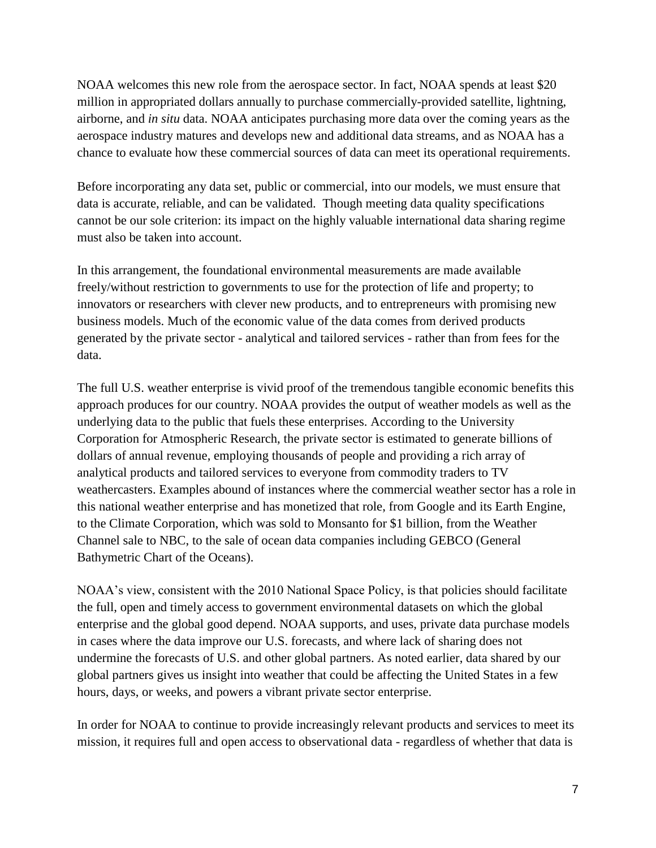NOAA welcomes this new role from the aerospace sector. In fact, NOAA spends at least \$20 million in appropriated dollars annually to purchase commercially-provided satellite, lightning, airborne, and *in situ* data. NOAA anticipates purchasing more data over the coming years as the aerospace industry matures and develops new and additional data streams, and as NOAA has a chance to evaluate how these commercial sources of data can meet its operational requirements.

Before incorporating any data set, public or commercial, into our models, we must ensure that data is accurate, reliable, and can be validated. Though meeting data quality specifications cannot be our sole criterion: its impact on the highly valuable international data sharing regime must also be taken into account.

In this arrangement, the foundational environmental measurements are made available freely/without restriction to governments to use for the protection of life and property; to innovators or researchers with clever new products, and to entrepreneurs with promising new business models. Much of the economic value of the data comes from derived products generated by the private sector - analytical and tailored services - rather than from fees for the data.

The full U.S. weather enterprise is vivid proof of the tremendous tangible economic benefits this approach produces for our country. NOAA provides the output of weather models as well as the underlying data to the public that fuels these enterprises. According to the University Corporation for Atmospheric Research, the private sector is estimated to generate billions of dollars of annual revenue, employing thousands of people and providing a rich array of analytical products and tailored services to everyone from commodity traders to TV weathercasters. Examples abound of instances where the commercial weather sector has a role in this national weather enterprise and has monetized that role, from Google and its Earth Engine, to the Climate Corporation, which was sold to Monsanto for \$1 billion, from the Weather Channel sale to NBC, to the sale of ocean data companies including GEBCO (General Bathymetric Chart of the Oceans).

NOAA's view, consistent with the 2010 National Space Policy, is that policies should facilitate the full, open and timely access to government environmental datasets on which the global enterprise and the global good depend. NOAA supports, and uses, private data purchase models in cases where the data improve our U.S. forecasts, and where lack of sharing does not undermine the forecasts of U.S. and other global partners. As noted earlier, data shared by our global partners gives us insight into weather that could be affecting the United States in a few hours, days, or weeks, and powers a vibrant private sector enterprise.

In order for NOAA to continue to provide increasingly relevant products and services to meet its mission, it requires full and open access to observational data - regardless of whether that data is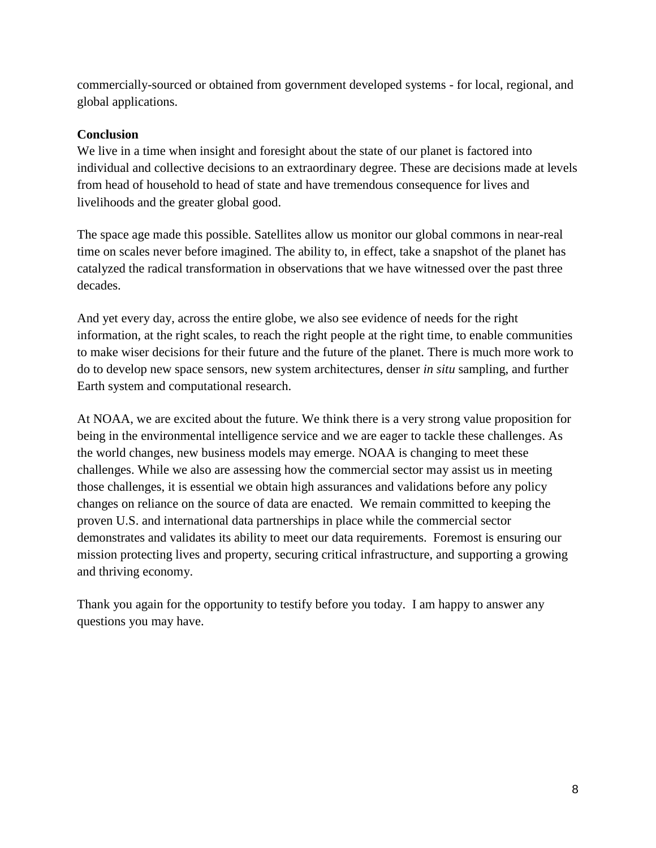commercially-sourced or obtained from government developed systems - for local, regional, and global applications.

#### **Conclusion**

We live in a time when insight and foresight about the state of our planet is factored into individual and collective decisions to an extraordinary degree. These are decisions made at levels from head of household to head of state and have tremendous consequence for lives and livelihoods and the greater global good.

The space age made this possible. Satellites allow us monitor our global commons in near-real time on scales never before imagined. The ability to, in effect, take a snapshot of the planet has catalyzed the radical transformation in observations that we have witnessed over the past three decades.

And yet every day, across the entire globe, we also see evidence of needs for the right information, at the right scales, to reach the right people at the right time, to enable communities to make wiser decisions for their future and the future of the planet. There is much more work to do to develop new space sensors, new system architectures, denser *in situ* sampling, and further Earth system and computational research.

At NOAA, we are excited about the future. We think there is a very strong value proposition for being in the environmental intelligence service and we are eager to tackle these challenges. As the world changes, new business models may emerge. NOAA is changing to meet these challenges. While we also are assessing how the commercial sector may assist us in meeting those challenges, it is essential we obtain high assurances and validations before any policy changes on reliance on the source of data are enacted. We remain committed to keeping the proven U.S. and international data partnerships in place while the commercial sector demonstrates and validates its ability to meet our data requirements. Foremost is ensuring our mission protecting lives and property, securing critical infrastructure, and supporting a growing and thriving economy.

Thank you again for the opportunity to testify before you today. I am happy to answer any questions you may have.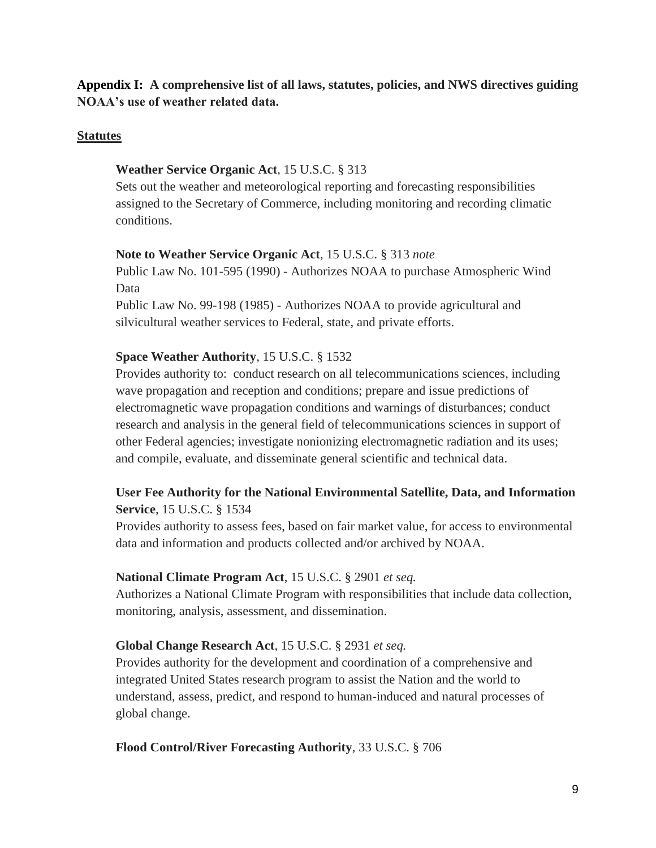**Appendix I: A comprehensive list of all laws, statutes, policies, and NWS directives guiding NOAA's use of weather related data.**

#### **Statutes**

#### **Weather Service Organic Act**, 15 U.S.C. § 313

Sets out the weather and meteorological reporting and forecasting responsibilities assigned to the Secretary of Commerce, including monitoring and recording climatic conditions.

#### **Note to Weather Service Organic Act**, 15 U.S.C. § 313 *note*

Public Law No. 101-595 (1990) - Authorizes NOAA to purchase Atmospheric Wind Data

Public Law No. 99-198 (1985) - Authorizes NOAA to provide agricultural and silvicultural weather services to Federal, state, and private efforts.

#### **Space Weather Authority**, 15 U.S.C. § 1532

Provides authority to: conduct research on all telecommunications sciences, including wave propagation and reception and conditions; prepare and issue predictions of electromagnetic wave propagation conditions and warnings of disturbances; conduct research and analysis in the general field of telecommunications sciences in support of other Federal agencies; investigate nonionizing electromagnetic radiation and its uses; and compile, evaluate, and disseminate general scientific and technical data.

#### **User Fee Authority for the National Environmental Satellite, Data, and Information Service**, 15 U.S.C. § 1534

Provides authority to assess fees, based on fair market value, for access to environmental data and information and products collected and/or archived by NOAA.

#### **National Climate Program Act**, 15 U.S.C. § 2901 *et seq.*

Authorizes a National Climate Program with responsibilities that include data collection, monitoring, analysis, assessment, and dissemination.

#### **Global Change Research Act**, 15 U.S.C. § 2931 *et seq.*

Provides authority for the development and coordination of a comprehensive and integrated United States research program to assist the Nation and the world to understand, assess, predict, and respond to human-induced and natural processes of global change.

#### **Flood Control/River Forecasting Authority**, 33 U.S.C. § 706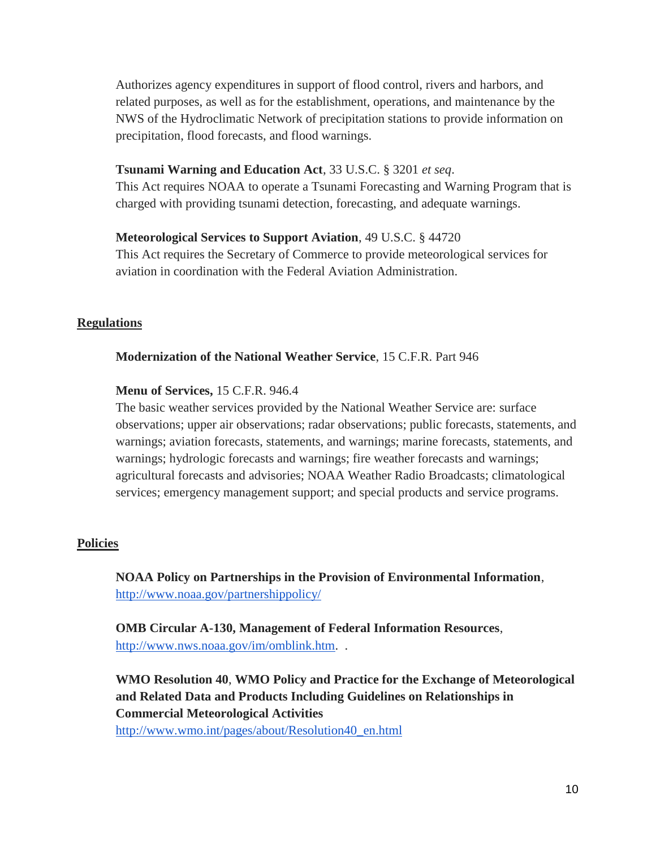Authorizes agency expenditures in support of flood control, rivers and harbors, and related purposes, as well as for the establishment, operations, and maintenance by the NWS of the Hydroclimatic Network of precipitation stations to provide information on precipitation, flood forecasts, and flood warnings.

#### **Tsunami Warning and Education Act**, 33 U.S.C. § 3201 *et seq*.

This Act requires NOAA to operate a Tsunami Forecasting and Warning Program that is charged with providing tsunami detection, forecasting, and adequate warnings.

#### **Meteorological Services to Support Aviation**, 49 U.S.C. § 44720

This Act requires the Secretary of Commerce to provide meteorological services for aviation in coordination with the Federal Aviation Administration.

#### **Regulations**

#### **Modernization of the National Weather Service**, 15 C.F.R. Part 946

#### **Menu of Services,** 15 C.F.R. 946.4

The basic weather services provided by the National Weather Service are: surface observations; upper air observations; radar observations; public forecasts, statements, and warnings; aviation forecasts, statements, and warnings; marine forecasts, statements, and warnings; hydrologic forecasts and warnings; fire weather forecasts and warnings; agricultural forecasts and advisories; NOAA Weather Radio Broadcasts; climatological services; emergency management support; and special products and service programs.

#### **Policies**

**NOAA Policy on Partnerships in the Provision of Environmental Information**[,](http://www.noaa.gov/partnershippolicy/) <http://www.noaa.gov/partnershippolicy/>

**OMB Circular A-130, Management of Federal Information Resources**[,](http://www.nws.noaa.gov/im/omblink.htm) [http://www.nws.noaa.gov/im/omblink.htm.](http://www.nws.noaa.gov/im/omblink.htm) .

**WMO Resolution 40**, **WMO Policy and Practice for the Exchange of Meteorological and Related Data and Products Including Guidelines on Relationships in Commercial Meteorological Activities**

[http://www.wmo.int/pages/about/Resolution40\\_en.html](http://www.wmo.int/pages/about/Resolution40_en.html)